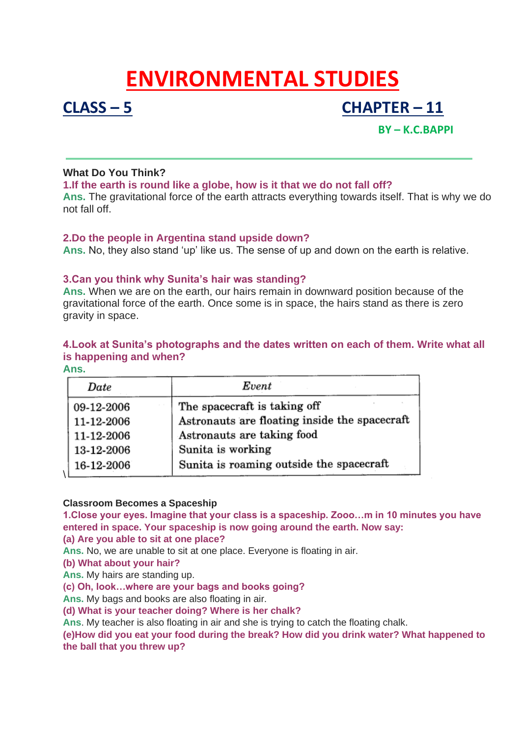# **ENVIRONMENTAL STUDIES**

## **CLASS – 5 CHAPTER – 11**

### **BY – K.C.BAPPI**

#### **What Do You Think?**

#### **1.If the earth is round like a globe, how is it that we do not fall off?**

**Ans.** The gravitational force of the earth attracts everything towards itself. That is why we do not fall off.

#### **2.Do the people in Argentina stand upside down?**

**Ans.** No, they also stand 'up' like us. The sense of up and down on the earth is relative.

#### **3.Can you think why Sunita's hair was standing?**

**Ans.** When we are on the earth, our hairs remain in downward position because of the gravitational force of the earth. Once some is in space, the hairs stand as there is zero gravity in space.

#### **4.Look at Sunita's photographs and the dates written on each of them. Write what all is happening and when?**

| ۳ | × | ٠<br>I |
|---|---|--------|
|   |   |        |

| Date       | Event                                         |  |  |
|------------|-----------------------------------------------|--|--|
| 09-12-2006 | The spacecraft is taking off                  |  |  |
| 11-12-2006 | Astronauts are floating inside the spacecraft |  |  |
| 11-12-2006 | Astronauts are taking food                    |  |  |
| 13-12-2006 | Sunita is working                             |  |  |
| 16-12-2006 | Sunita is roaming outside the spacecraft      |  |  |

#### **Classroom Becomes a Spaceship**

**1.Close your eyes. Imagine that your class is a spaceship. Zooo…m in 10 minutes you have entered in space. Your spaceship is now going around the earth. Now say:**

**(a) Are you able to sit at one place?**

**Ans.** No, we are unable to sit at one place. Everyone is floating in air.

**(b) What about your hair?**

**Ans.** My hairs are standing up.

**(c) Oh, look…where are your bags and books going?**

**Ans.** My bags and books are also floating in air.

**(d) What is your teacher doing? Where is her chalk?**

**Ans**. My teacher is also floating in air and she is trying to catch the floating chalk.

**(e)How did you eat your food during the break? How did you drink water? What happened to the ball that you threw up?**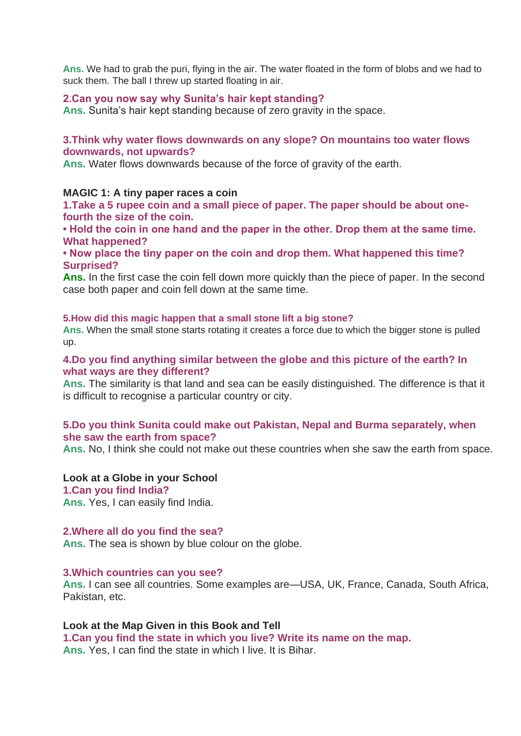**Ans.** We had to grab the puri, flying in the air. The water floated in the form of blobs and we had to suck them. The ball I threw up started floating in air.

#### **2.Can you now say why Sunita's hair kept standing?**

**Ans.** Sunita's hair kept standing because of zero gravity in the space.

#### **3.Think why water flows downwards on any slope? On mountains too water flows downwards, not upwards?**

**Ans.** Water flows downwards because of the force of gravity of the earth.

#### **MAGIC 1: A tiny paper races a coin**

**1.Take a 5 rupee coin and a small piece of paper. The paper should be about onefourth the size of the coin.**

**• Hold the coin in one hand and the paper in the other. Drop them at the same time. What happened?**

**• Now place the tiny paper on the coin and drop them. What happened this time? Surprised?**

**Ans.** In the first case the coin fell down more quickly than the piece of paper. In the second case both paper and coin fell down at the same time.

#### **5.How did this magic happen that a small stone lift a big stone?**

**Ans.** When the small stone starts rotating it creates a force due to which the bigger stone is pulled up.

#### **4.Do you find anything similar between the globe and this picture of the earth? In what ways are they different?**

**Ans.** The similarity is that land and sea can be easily distinguished. The difference is that it is difficult to recognise a particular country or city.

#### **5.Do you think Sunita could make out Pakistan, Nepal and Burma separately, when she saw the earth from space?**

**Ans.** No, I think she could not make out these countries when she saw the earth from space.

#### **Look at a Globe in your School**

**1.Can you find India?**

**Ans.** Yes, I can easily find India.

#### **2.Where all do you find the sea?**

**Ans.** The sea is shown by blue colour on the globe.

#### **3.Which countries can you see?**

**Ans.** I can see all countries. Some examples are—USA, UK, France, Canada, South Africa, Pakistan, etc.

#### **Look at the Map Given in this Book and Tell**

**1.Can you find the state in which you live? Write its name on the map.**

**Ans.** Yes, I can find the state in which I live. It is Bihar.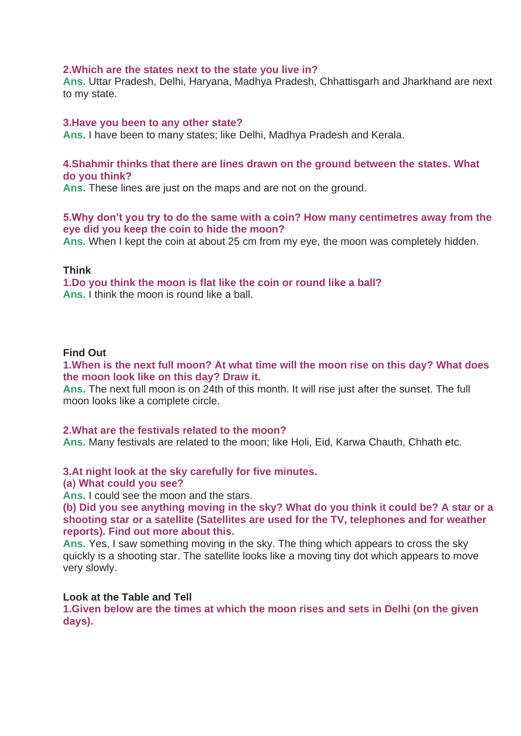#### **2.Which are the states next to the state you live in?**

**Ans.** Uttar Pradesh, Delhi, Haryana, Madhya Pradesh, Chhattisgarh and Jharkhand are next to my state.

#### **3.Have you been to any other state?**

**Ans.** I have been to many states; like Delhi, Madhya Pradesh and Kerala.

#### **4.Shahmir thinks that there are lines drawn on the ground between the states. What do you think?**

**Ans.** These lines are just on the maps and are not on the ground.

#### **5.Why don't you try to do the same with a coin? How many centimetres away from the eye did you keep the coin to hide the moon?**

**Ans.** When I kept the coin at about 25 cm from my eye, the moon was completely hidden.

#### **Think**

**1.Do you think the moon is flat like the coin or round like a ball? Ans.** I think the moon is round like a ball.

#### **Find Out**

**1.When is the next full moon? At what time will the moon rise on this day? What does the moon look like on this day? Draw it.**

**Ans.** The next full moon is on 24th of this month. It will rise just after the sunset. The full moon looks like a complete circle.

#### **2.What are the festivals related to the moon?**

**Ans.** Many festivals are related to the moon; like Holi, Eid, Karwa Chauth, Chhath etc.

#### **3.At night look at the sky carefully for five minutes.**

#### **(а) What could you see?**

**Ans.** I could see the moon and the stars.

**(b) Did you see anything moving in the sky? What do you think it could be? A star or a shooting star or a satellite (Satellites are used for the TV, telephones and for weather reports). Find out more about this.**

**Ans.** Yes, I saw something moving in the sky. The thing which appears to cross the sky quickly is a shooting star. The satellite looks like a moving tiny dot which appears to move very slowly.

#### **Look at the Table and Tell**

**1.Given below are the times at which the moon rises and sets in Delhi (on the given days).**